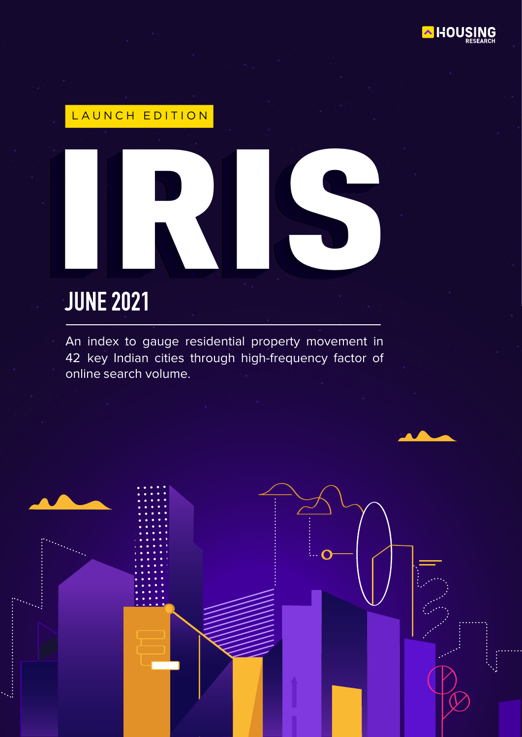

# LAUNCH EDITION

# **JUNE 2021** EAUNCH EDITION

An index to gauge residential property movement in 42 key Indian cities through high-frequency factor of online search volume.

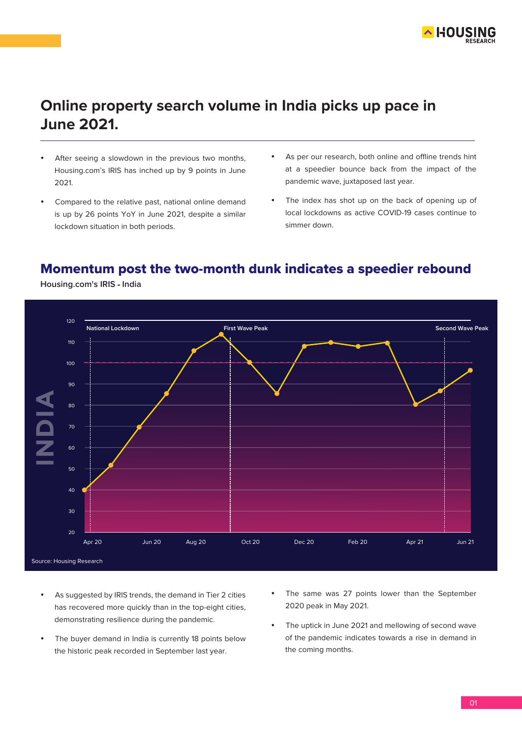

# **Online property search volume in India picks up pace in June 2021.**

- After seeing a slowdown in the previous two months, Housing.com's IRIS has inched up by 9 points in June 2021.
- Compared to the relative past, national online demand is up by 26 points YoY in June 2021, despite a similar lockdown situation in both periods.
- As per our research, both online and offline trends hint at a speedier bounce back from the impact of the pandemic wave, juxtaposed last year.
- The index has shot up on the back of opening up of local lockdowns as active COVID-19 cases continue to simmer down.

# Momentum post the two-month dunk indicates a speedier rebound



**Housing.com's IRIS - India**

- As suggested by IRIS trends, the demand in Tier 2 cities has recovered more quickly than in the top-eight cities, demonstrating resilience during the pandemic.
- The buyer demand in India is currently 18 points below the historic peak recorded in September last year.
- The same was 27 points lower than the September 2020 peak in May 2021.
- The uptick in June 2021 and mellowing of second wave of the pandemic indicates towards a rise in demand in the coming months.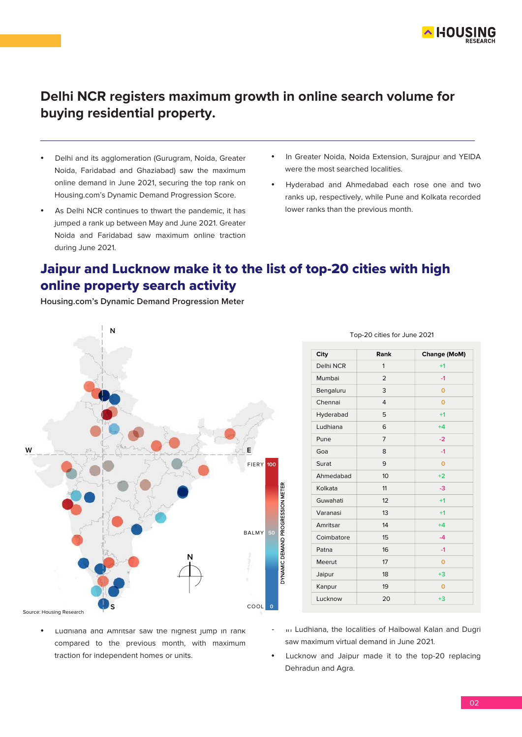

# **Delhi NCR registers maximum growth in online search volume for buying residential property.**

- Delhi and its agglomeration (Gurugram, Noida, Greater Noida, Faridabad and Ghaziabad) saw the maximum online demand in June 2021, securing the top rank on Housing.com's Dynamic Demand Progression Score.
- As Delhi NCR continues to thwart the pandemic, it has jumped a rank up between May and June 2021. Greater Noida and Faridabad saw maximum online traction during June 2021.
- In Greater Noida, Noida Extension, Surajpur and YEIDA were the most searched localities.
- Hyderabad and Ahmedabad each rose one and two ranks up, respectively, while Pune and Kolkata recorded lower ranks than the previous month.

# Jaipur and Lucknow make it to the list of top-20 cities with high online property search activity

**Housing.com's Dynamic Demand Progression Meter**



 Ludhiana and Amritsar saw the highest jump in rank compared to the previous month, with maximum

traction for independent homes or units.

| City       | Rank           | <b>Change (MoM)</b> |
|------------|----------------|---------------------|
| Delhi NCR  | 1              | $+1$                |
| Mumbai     | $\overline{2}$ | $-1$                |
| Bengaluru  | 3              | $\overline{O}$      |
| Chennai    | $\overline{4}$ | O                   |
| Hyderabad  | 5              | $+1$                |
| Ludhiana   | 6              | $+4$                |
| Pune       | $\overline{7}$ | $-2$                |
| Goa        | 8              | $-1$                |
| Surat      | 9              | $\Omega$            |
| Ahmedabad  | 10             | $+2$                |
| Kolkata    | 11             | $-3$                |
| Guwahati   | 12             | $+1$                |
| Varanasi   | 13             | $+1$                |
| Amritsar   | 14             | $+4$                |
| Coimbatore | 15             | $-4$                |
| Patna      | 16             | $-1$                |
| Meerut     | 17             | O                   |
| Jaipur     | 18             | $+3$                |
| Kanpur     | 19             | $\Omega$            |
| Lucknow    | 20             | $+3$                |

Top-20 cities for June 2021

- In Ludhiana, the localities of Haibowal Kalan and Dugri saw maximum virtual demand in June 2021.
- Lucknow and Jaipur made it to the top-20 replacing Dehradun and Agra.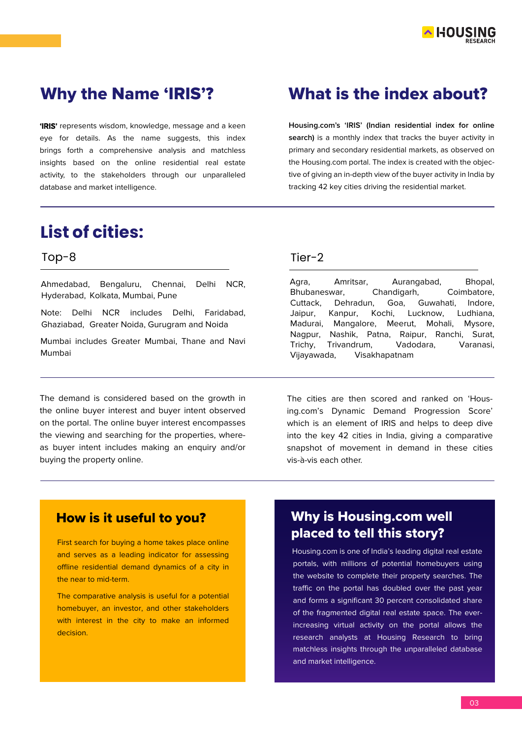

**'IRIS'** represents wisdom, knowledge, message and a keen eye for details. As the name suggests, this index brings forth a comprehensive analysis and matchless insights based on the online residential real estate activity, to the stakeholders through our unparalleled database and market intelligence.

# **List of cities:**

### Top-8

Ahmedabad, Bengaluru, Chennai, Delhi NCR, Hyderabad, Kolkata, Mumbai, Pune

Note: Delhi NCR includes Delhi, Faridabad, Ghaziabad, Greater Noida, Gurugram and Noida

Mumbai includes Greater Mumbai, Thane and Navi Mumbai

The demand is considered based on the growth in the online buyer interest and buyer intent observed on the portal. The online buyer interest encompasses the viewing and searching for the properties, whereas buyer intent includes making an enquiry and/or buying the property online.

# Why the Name 'IRIS'? What is the index about?

**Housing.com's 'IRIS' (Indian residential index for online search)** is a monthly index that tracks the buyer activity in primary and secondary residential markets, as observed on the Housing.com portal. The index is created with the objective of giving an in-depth view of the buyer activity in India by tracking 42 key cities driving the residential market.

### Tier-2

Agra, Amritsar, Aurangabad, Bhopal, Bhubaneswar, Chandigarh, Coimbatore, Cuttack, Dehradun, Goa, Guwahati, Indore, Jaipur, Kanpur, Kochi, Lucknow, Ludhiana, Madurai, Mangalore, Meerut, Mohali, Mysore, Nagpur, Nashik, Patna, Raipur, Ranchi, Surat, Trichy, Trivandrum, Vadodara, Varanasi, Vijayawada, Visakhapatnam

The cities are then scored and ranked on 'Housing.com's Dynamic Demand Progression Score' which is an element of IRIS and helps to deep dive into the key 42 cities in India, giving a comparative snapshot of movement in demand in these cities vis-à-vis each other.

# How is it useful to you?

First search for buying a home takes place online and serves as a leading indicator for assessing offline residential demand dynamics of a city in the near to mid-term.

The comparative analysis is useful for a potential homebuyer, an investor, and other stakeholders with interest in the city to make an informed decision.

# Why is Housing.com well placed to tell this story?

Housing.com is one of India's leading digital real estate portals, with millions of potential homebuyers using the website to complete their property searches. The traffic on the portal has doubled over the past year and forms a significant 30 percent consolidated share of the fragmented digital real estate space. The everincreasing virtual activity on the portal allows the research analysts at Housing Research to bring matchless insights through the unparalleled database and market intelligence.